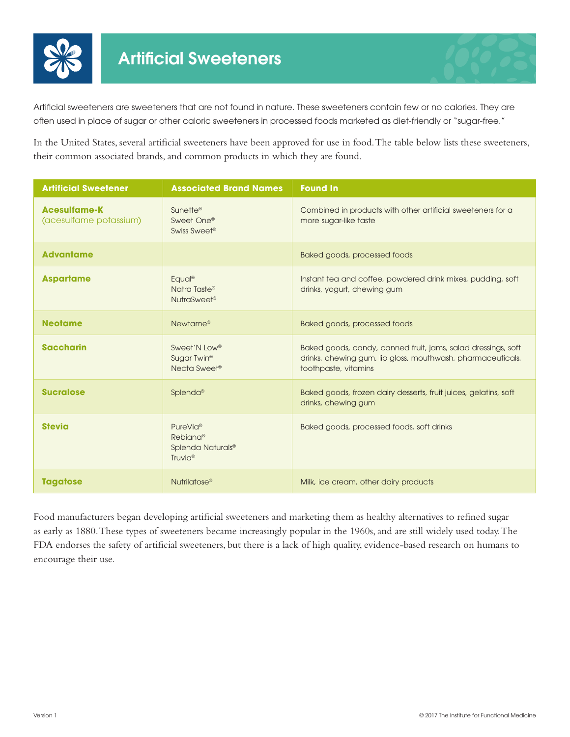



Artificial sweeteners are sweeteners that are not found in nature. These sweeteners contain few or no calories. They are often used in place of sugar or other caloric sweeteners in processed foods marketed as diet-friendly or "sugar-free."

In the United States, several artificial sweeteners have been approved for use in food. The table below lists these sweeteners, their common associated brands, and common products in which they are found.

| <b>Artificial Sweetener</b>                   | <b>Associated Brand Names</b>                                                            | <b>Found In</b>                                                                                                                                      |
|-----------------------------------------------|------------------------------------------------------------------------------------------|------------------------------------------------------------------------------------------------------------------------------------------------------|
| <b>Acesulfame-K</b><br>(acesulfame potassium) | Sunette <sup>®</sup><br>Sweet One®<br>Swiss Sweet®                                       | Combined in products with other artificial sweeteners for a<br>more sugar-like taste                                                                 |
| <b>Advantame</b>                              |                                                                                          | Baked goods, processed foods                                                                                                                         |
| <b>Aspartame</b>                              | Equal <sup>®</sup><br>Natra Taste®<br>NutraSweet <sup>®</sup>                            | Instant tea and coffee, powdered drink mixes, pudding, soft<br>drinks, yogurt, chewing gum                                                           |
| <b>Neotame</b>                                | Newtame <sup>®</sup>                                                                     | Baked goods, processed foods                                                                                                                         |
| <b>Saccharin</b>                              | Sweet'N Low <sup>®</sup><br>Sugar Twin <sup>®</sup><br>Necta Sweet®                      | Baked goods, candy, canned fruit, jams, salad dressings, soft<br>drinks, chewing gum, lip gloss, mouthwash, pharmaceuticals,<br>toothpaste, vitamins |
| <b>Sucralose</b>                              | Splenda®                                                                                 | Baked goods, frozen dairy desserts, fruit juices, gelatins, soft<br>drinks, chewing gum                                                              |
| <b>Stevia</b>                                 | PureVia <sup>®</sup><br>Rebiana®<br>Splenda Naturals <sup>®</sup><br>Truvia <sup>®</sup> | Baked goods, processed foods, soft drinks                                                                                                            |
| <b>Tagatose</b>                               | Nutrilatose <sup>®</sup>                                                                 | Milk, ice cream, other dairy products                                                                                                                |

Food manufacturers began developing artificial sweeteners and marketing them as healthy alternatives to refined sugar as early as 1880. These types of sweeteners became increasingly popular in the 1960s, and are still widely used today. The FDA endorses the safety of artificial sweeteners, but there is a lack of high quality, evidence-based research on humans to encourage their use.